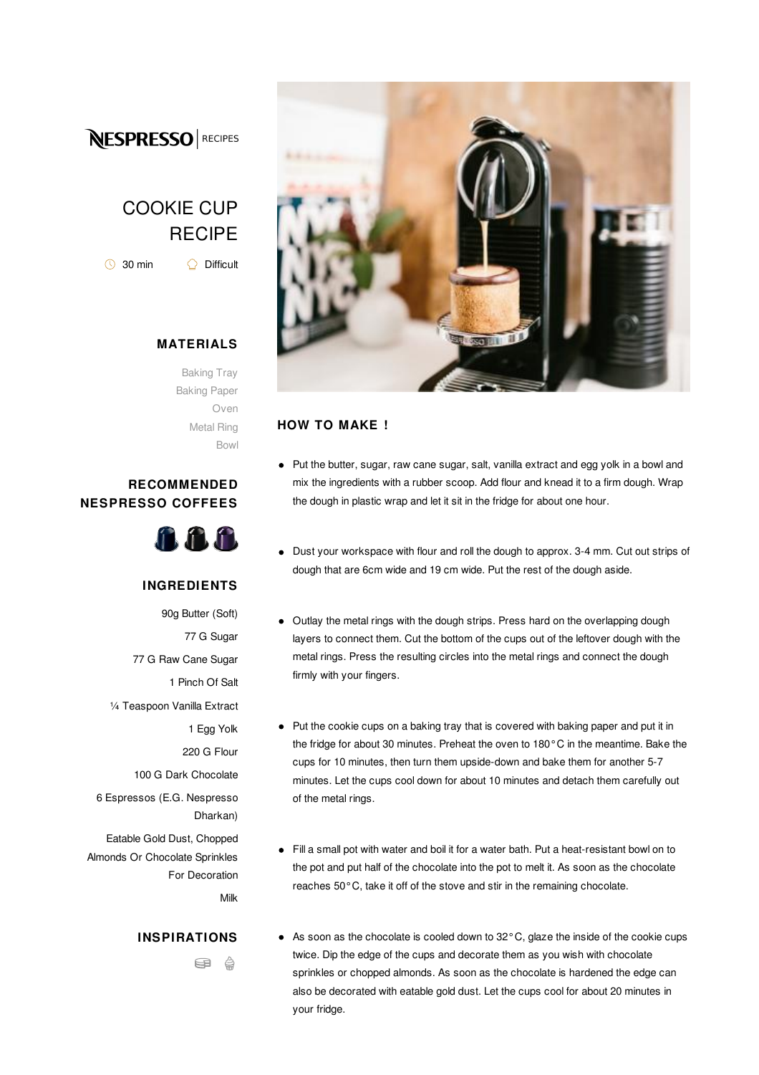

# COOKIE CUP **RECIPE**

 $\bigcirc$  30 min  $\bigcirc$  Difficult

## **MATERIALS**

Baking Tray Baking Paper Oven Metal Ring Bowl

### **RECOMMENDED NESPRESSO COFFEES**



#### **INGREDIENTS**

90g Butter (Soft) 77 G Sugar 77 G Raw Cane Sugar 1 Pinch Of Salt ¼ Teaspoon Vanilla Extract 1 Egg Yolk 220 G Flour 100 G Dark Chocolate 6 Espressos (E.G. Nespresso Dharkan) Eatable Gold Dust, Chopped Almonds Or Chocolate Sprinkles For Decoration Milk

#### **INSPIRATIONS**

ea A



#### **HOW TO MAKE !**

- Put the butter, sugar, raw cane sugar, salt, vanilla extract and egg yolk in a bowl and mix the ingredients with a rubber scoop. Add flour and knead it to a firm dough. Wrap the dough in plastic wrap and let it sit in the fridge for about one hour.
- Dust your workspace with flour and roll the dough to approx. 3-4 mm. Cut out strips of dough that are 6cm wide and 19 cm wide. Put the rest of the dough aside.
- Outlay the metal rings with the dough strips. Press hard on the overlapping dough layers to connect them. Cut the bottom of the cups out of the leftover dough with the metal rings. Press the resulting circles into the metal rings and connect the dough firmly with your fingers.
- Put the cookie cups on a baking tray that is covered with baking paper and put it in the fridge for about 30 minutes. Preheat the oven to 180°C in the meantime. Bake the cups for 10 minutes, then turn them upside-down and bake them for another 5-7 minutes. Let the cups cool down for about 10 minutes and detach them carefully out of the metal rings.
- Fill a small pot with water and boil it for a water bath. Put a heat-resistant bowl on to the pot and put half of the chocolate into the pot to melt it. As soon as the chocolate reaches 50°C, take it off of the stove and stir in the remaining chocolate.
- As soon as the chocolate is cooled down to 32°C, glaze the inside of the cookie cups twice. Dip the edge of the cups and decorate them as you wish with chocolate sprinkles or chopped almonds. As soon as the chocolate is hardened the edge can also be decorated with eatable gold dust. Let the cups cool for about 20 minutes in your fridge.